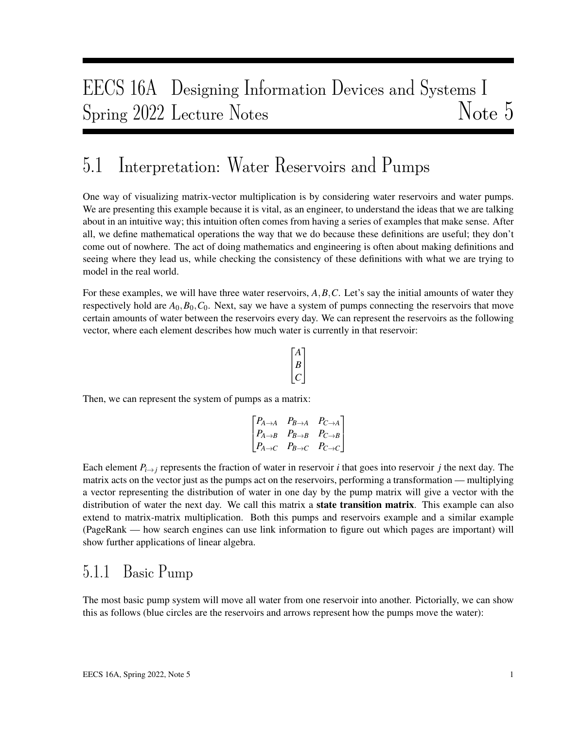# EECS 16A Designing Information Devices and Systems I Spring 2022 Lecture Notes Note 5

## 5.1 Interpretation: Water Reservoirs and Pumps

One way of visualizing matrix-vector multiplication is by considering water reservoirs and water pumps. We are presenting this example because it is vital, as an engineer, to understand the ideas that we are talking about in an intuitive way; this intuition often comes from having a series of examples that make sense. After all, we define mathematical operations the way that we do because these definitions are useful; they don't come out of nowhere. The act of doing mathematics and engineering is often about making definitions and seeing where they lead us, while checking the consistency of these definitions with what we are trying to model in the real world.

For these examples, we will have three water reservoirs, *A*,*B*,*C*. Let's say the initial amounts of water they respectively hold are  $A_0$ ,  $B_0$ ,  $C_0$ . Next, say we have a system of pumps connecting the reservoirs that move certain amounts of water between the reservoirs every day. We can represent the reservoirs as the following vector, where each element describes how much water is currently in that reservoir:

$$
\begin{bmatrix} A \\ B \\ C \end{bmatrix}
$$

Then, we can represent the system of pumps as a matrix:

$$
\begin{bmatrix} P_{A\rightarrow A} & P_{B\rightarrow A} & P_{C\rightarrow A} \\ P_{A\rightarrow B} & P_{B\rightarrow B} & P_{C\rightarrow B} \\ P_{A\rightarrow C} & P_{B\rightarrow C} & P_{C\rightarrow C} \end{bmatrix}
$$

Each element  $P_{i\to j}$  represents the fraction of water in reservoir *i* that goes into reservoir *j* the next day. The matrix acts on the vector just as the pumps act on the reservoirs, performing a transformation — multiplying a vector representing the distribution of water in one day by the pump matrix will give a vector with the distribution of water the next day. We call this matrix a **state transition matrix**. This example can also extend to matrix-matrix multiplication. Both this pumps and reservoirs example and a similar example (PageRank — how search engines can use link information to figure out which pages are important) will show further applications of linear algebra.

#### 5.1.1 Basic Pump

The most basic pump system will move all water from one reservoir into another. Pictorially, we can show this as follows (blue circles are the reservoirs and arrows represent how the pumps move the water):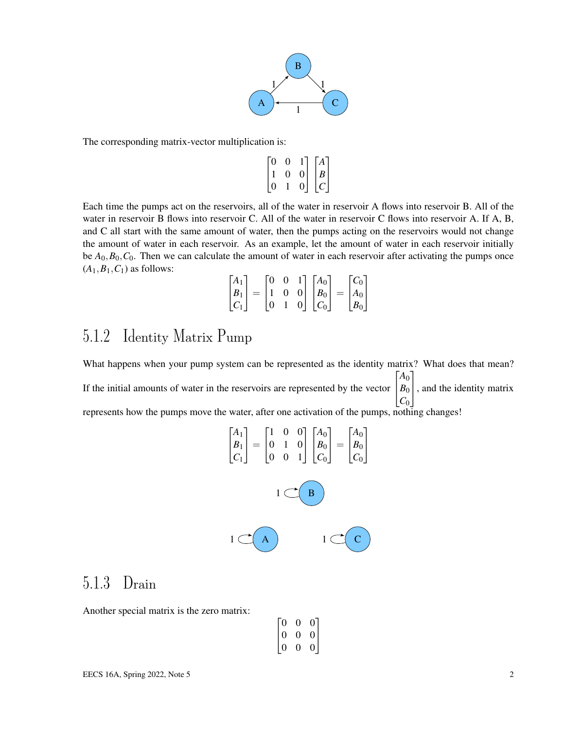

The corresponding matrix-vector multiplication is:

$$
\begin{bmatrix} 0 & 0 & 1 \\ 1 & 0 & 0 \\ 0 & 1 & 0 \end{bmatrix} \begin{bmatrix} A \\ B \\ C \end{bmatrix}
$$

Each time the pumps act on the reservoirs, all of the water in reservoir A flows into reservoir B. All of the water in reservoir B flows into reservoir C. All of the water in reservoir C flows into reservoir A. If A, B, and C all start with the same amount of water, then the pumps acting on the reservoirs would not change the amount of water in each reservoir. As an example, let the amount of water in each reservoir initially be  $A_0$ ,  $B_0$ ,  $C_0$ . Then we can calculate the amount of water in each reservoir after activating the pumps once  $(A_1, B_1, C_1)$  as follows:

$$
\begin{bmatrix} A_1 \\ B_1 \\ C_1 \end{bmatrix} = \begin{bmatrix} 0 & 0 & 1 \\ 1 & 0 & 0 \\ 0 & 1 & 0 \end{bmatrix} \begin{bmatrix} A_0 \\ B_0 \\ C_0 \end{bmatrix} = \begin{bmatrix} C_0 \\ A_0 \\ B_0 \end{bmatrix}
$$

#### 5.1.2 Identity Matrix Pump

What happens when your pump system can be represented as the identity matrix? What does that mean? If the initial amounts of water in the reservoirs are represented by the vector  $\begin{bmatrix} B_0 \\ G \end{bmatrix}$ , and the identity matrix  $[A_0]$  $|C_0|$ represents how the pumps move the water, after one activation of the pumps, nothing changes!

$$
\begin{bmatrix} A_1 \\ B_1 \\ C_1 \end{bmatrix} = \begin{bmatrix} 1 & 0 & 0 \\ 0 & 1 & 0 \\ 0 & 0 & 1 \end{bmatrix} \begin{bmatrix} A_0 \\ B_0 \\ C_0 \end{bmatrix} = \begin{bmatrix} A_0 \\ B_0 \\ C_0 \end{bmatrix}
$$

$$
1 \quad \text{or} \quad B
$$

### 5.1.3 Drain

Another special matrix is the zero matrix:

|                                           | 0                |                                             |
|-------------------------------------------|------------------|---------------------------------------------|
| $\begin{bmatrix} 0 \ 0 \ 0 \end{bmatrix}$ | $\boldsymbol{0}$ |                                             |
|                                           | $\theta$         | $\begin{bmatrix} 0 \\ 0 \\ 0 \end{bmatrix}$ |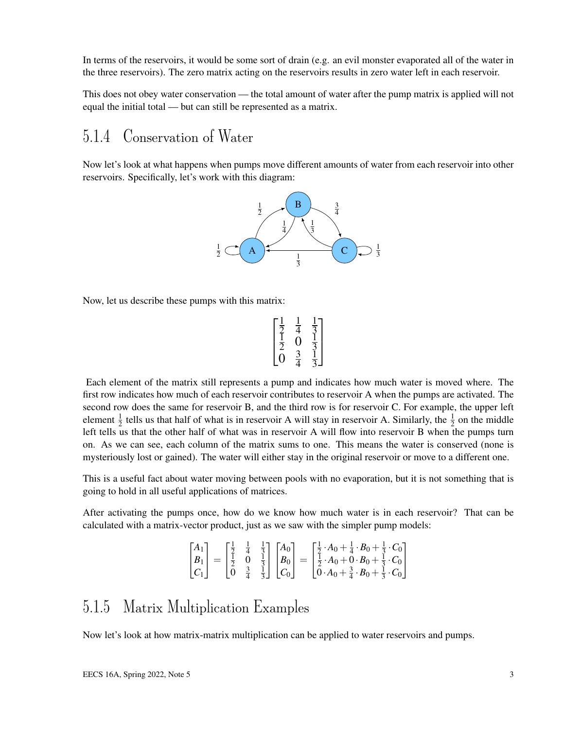In terms of the reservoirs, it would be some sort of drain (e.g. an evil monster evaporated all of the water in the three reservoirs). The zero matrix acting on the reservoirs results in zero water left in each reservoir.

This does not obey water conservation — the total amount of water after the pump matrix is applied will not equal the initial total — but can still be represented as a matrix.

#### <span id="page-2-0"></span>5.1.4 Conservation of Water

Now let's look at what happens when pumps move different amounts of water from each reservoir into other reservoirs. Specifically, let's work with this diagram:



Now, let us describe these pumps with this matrix:

$$
\begin{bmatrix} \frac{1}{2} & \frac{1}{4} & \frac{1}{3} \\ \frac{1}{2} & 0 & \frac{1}{3} \\ 0 & \frac{3}{4} & \frac{1}{3} \end{bmatrix}
$$

Each element of the matrix still represents a pump and indicates how much water is moved where. The first row indicates how much of each reservoir contributes to reservoir A when the pumps are activated. The second row does the same for reservoir B, and the third row is for reservoir C. For example, the upper left element  $\frac{1}{2}$  tells us that half of what is in reservoir A will stay in reservoir A. Similarly, the  $\frac{1}{2}$  on the middle left tells us that the other half of what was in reservoir A will flow into reservoir B when the pumps turn on. As we can see, each column of the matrix sums to one. This means the water is conserved (none is mysteriously lost or gained). The water will either stay in the original reservoir or move to a different one.

This is a useful fact about water moving between pools with no evaporation, but it is not something that is going to hold in all useful applications of matrices.

After activating the pumps once, how do we know how much water is in each reservoir? That can be calculated with a matrix-vector product, just as we saw with the simpler pump models:

$$
\begin{bmatrix} A_1 \\ B_1 \\ C_1 \end{bmatrix} = \begin{bmatrix} \frac{1}{2} & \frac{1}{4} & \frac{1}{3} \\ \frac{1}{2} & 0 & \frac{1}{3} \\ 0 & \frac{3}{4} & \frac{1}{3} \end{bmatrix} \begin{bmatrix} A_0 \\ B_0 \\ C_0 \end{bmatrix} = \begin{bmatrix} \frac{1}{2} \cdot A_0 + \frac{1}{4} \cdot B_0 + \frac{1}{3} \cdot C_0 \\ \frac{1}{2} \cdot A_0 + 0 \cdot B_0 + \frac{1}{3} \cdot C_0 \\ 0 \cdot A_0 + \frac{3}{4} \cdot B_0 + \frac{1}{3} \cdot C_0 \end{bmatrix}
$$

#### 5.1.5 Matrix Multiplication Examples

Now let's look at how matrix-matrix multiplication can be applied to water reservoirs and pumps.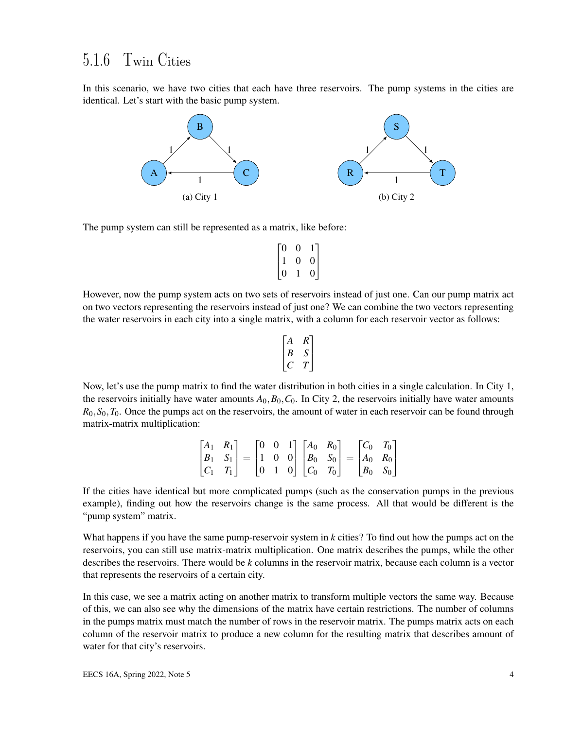#### 5.1.6 Twin Cities

In this scenario, we have two cities that each have three reservoirs. The pump systems in the cities are identical. Let's start with the basic pump system.



The pump system can still be represented as a matrix, like before:

$$
\begin{bmatrix} 0 & 0 & 1 \\ 1 & 0 & 0 \\ 0 & 1 & 0 \end{bmatrix}
$$

However, now the pump system acts on two sets of reservoirs instead of just one. Can our pump matrix act on two vectors representing the reservoirs instead of just one? We can combine the two vectors representing the water reservoirs in each city into a single matrix, with a column for each reservoir vector as follows:

$$
\begin{bmatrix} A & R \\ B & S \\ C & T \end{bmatrix}
$$

Now, let's use the pump matrix to find the water distribution in both cities in a single calculation. In City 1, the reservoirs initially have water amounts  $A_0$ ,  $B_0$ ,  $C_0$ . In City 2, the reservoirs initially have water amounts  $R_0, S_0, T_0$ . Once the pumps act on the reservoirs, the amount of water in each reservoir can be found through matrix-matrix multiplication:

|  |  |  | $\begin{bmatrix} A_1 & R_1 \\ B_1 & S_1 \\ C_1 & T_1 \end{bmatrix} = \begin{bmatrix} 0 & 0 & 1 \\ 1 & 0 & 0 \\ 0 & 1 & 0 \end{bmatrix} \begin{bmatrix} A_0 & R_0 \\ B_0 & S_0 \\ C_0 & T_0 \end{bmatrix} = \begin{bmatrix} C_0 & T_0 \\ A_0 & R_0 \\ B_0 & S_0 \end{bmatrix}$ |  |  |
|--|--|--|-------------------------------------------------------------------------------------------------------------------------------------------------------------------------------------------------------------------------------------------------------------------------------|--|--|

If the cities have identical but more complicated pumps (such as the conservation pumps in the previous example), finding out how the reservoirs change is the same process. All that would be different is the "pump system" matrix.

What happens if you have the same pump-reservoir system in *k* cities? To find out how the pumps act on the reservoirs, you can still use matrix-matrix multiplication. One matrix describes the pumps, while the other describes the reservoirs. There would be *k* columns in the reservoir matrix, because each column is a vector that represents the reservoirs of a certain city.

In this case, we see a matrix acting on another matrix to transform multiple vectors the same way. Because of this, we can also see why the dimensions of the matrix have certain restrictions. The number of columns in the pumps matrix must match the number of rows in the reservoir matrix. The pumps matrix acts on each column of the reservoir matrix to produce a new column for the resulting matrix that describes amount of water for that city's reservoirs.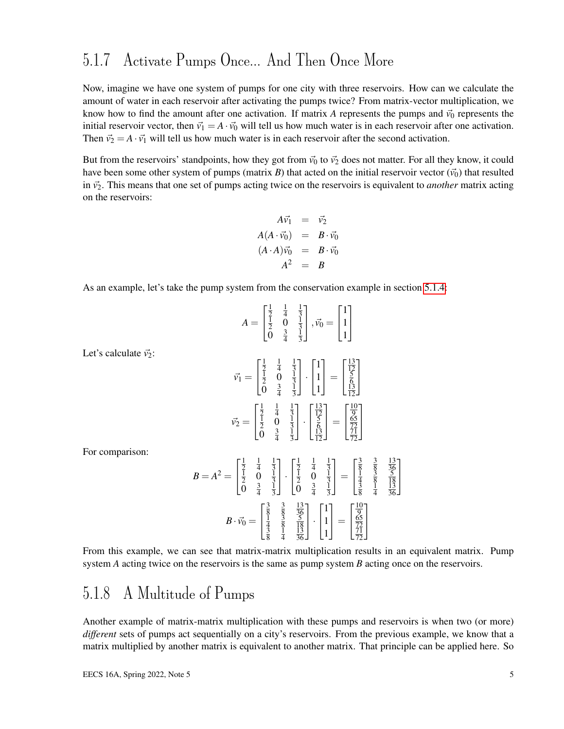### 5.1.7 Activate Pumps Once... And Then Once More

Now, imagine we have one system of pumps for one city with three reservoirs. How can we calculate the amount of water in each reservoir after activating the pumps twice? From matrix-vector multiplication, we know how to find the amount after one activation. If matrix *A* represents the pumps and  $\vec{v}_0$  represents the initial reservoir vector, then  $\vec{v}_1 = A \cdot \vec{v}_0$  will tell us how much water is in each reservoir after one activation. Then  $\vec{v}_2 = A \cdot \vec{v}_1$  will tell us how much water is in each reservoir after the second activation.

But from the reservoirs' standpoints, how they got from  $\vec{v_0}$  to  $\vec{v_2}$  does not matter. For all they know, it could have been some other system of pumps (matrix *B*) that acted on the initial reservoir vector  $(\vec{v}_0)$  that resulted in  $\vec{v}_2$ . This means that one set of pumps acting twice on the reservoirs is equivalent to *another* matrix acting on the reservoirs:

$$
A\vec{v_1} = \vec{v_2}
$$
  
\n
$$
A(A \cdot \vec{v_0}) = B \cdot \vec{v_0}
$$
  
\n
$$
(A \cdot A)\vec{v_0} = B \cdot \vec{v_0}
$$
  
\n
$$
A^2 = B
$$

As an example, let's take the pump system from the conservation example in section [5.1.4:](#page-2-0)

|  | $\begin{matrix}\frac{1}{2} & \frac{1}{4} \\ \frac{1}{2} & 0 \\ 0 & \frac{3}{4}\end{matrix}$ | $\frac{1}{3}$<br>$\frac{1}{3}$<br>$\frac{1}{3}$ | $\vec{v}_0 =$ | $\begin{bmatrix} 1 \\ 1 \\ 1 \end{bmatrix}$ |
|--|---------------------------------------------------------------------------------------------|-------------------------------------------------|---------------|---------------------------------------------|
|--|---------------------------------------------------------------------------------------------|-------------------------------------------------|---------------|---------------------------------------------|

Let's calculate  $\vec{v}_2$ :

For comparison:

$$
\vec{v_1} = \begin{bmatrix} \frac{1}{2} & \frac{1}{4} & \frac{1}{3} \\ \frac{1}{2} & 0 & \frac{1}{3} \\ 0 & \frac{3}{4} & \frac{1}{3} \end{bmatrix} \cdot \begin{bmatrix} 1 \\ 1 \\ 1 \end{bmatrix} = \begin{bmatrix} \frac{13}{2} \\ \frac{5}{6} \\ \frac{13}{12} \end{bmatrix}
$$

$$
\vec{v_2} = \begin{bmatrix} \frac{1}{2} & \frac{1}{4} & \frac{1}{3} \\ \frac{1}{2} & 0 & \frac{1}{3} \\ 0 & \frac{3}{4} & \frac{1}{3} \end{bmatrix} \cdot \begin{bmatrix} \frac{13}{12} \\ \frac{5}{6} \\ \frac{13}{12} \end{bmatrix} = \begin{bmatrix} \frac{10}{9} \\ \frac{65}{72} \\ \frac{77}{72} \end{bmatrix}
$$

$$
B = A^2 = \begin{bmatrix} \frac{1}{2} & \frac{1}{4} & \frac{1}{3} \\ \frac{1}{2} & 0 & \frac{1}{3} \\ 0 & \frac{3}{4} & \frac{1}{3} \end{bmatrix} \cdot \begin{bmatrix} \frac{1}{2} & \frac{1}{4} & \frac{1}{3} \\ \frac{1}{2} & 0 & \frac{1}{3} \\ 0 & \frac{3}{4} & \frac{1}{3} \end{bmatrix} = \begin{bmatrix} \frac{3}{8} & \frac{3}{8} & \frac{13}{36} \\ \frac{1}{3} & \frac{3}{8} & \frac{5}{36} \\ \frac{1}{3} & \frac{1}{3} & \frac{1}{36} \end{bmatrix}
$$

$$
B \cdot \vec{v_0} = \begin{bmatrix} \frac{3}{8} & \frac{3}{8} & \frac{13}{36} \\ \frac{1}{4} & \frac{3}{8} & \frac{5}{18} \\ \frac{1}{3} & \frac{1}{4} & \frac{13}{36} \end{bmatrix} \cdot \begin{bmatrix} 1 \\ 1 \\ 1 \end{bmatrix} = \begin{bmatrix} \frac{10}{9} \\ \frac{65}{7} \\ \frac{77}{72} \end{bmatrix}
$$

From this example, we can see that matrix-matrix multiplication results in an equivalent matrix. Pump system *A* acting twice on the reservoirs is the same as pump system *B* acting once on the reservoirs.

#### 5.1.8 A Multitude of Pumps

Another example of matrix-matrix multiplication with these pumps and reservoirs is when two (or more) *different* sets of pumps act sequentially on a city's reservoirs. From the previous example, we know that a matrix multiplied by another matrix is equivalent to another matrix. That principle can be applied here. So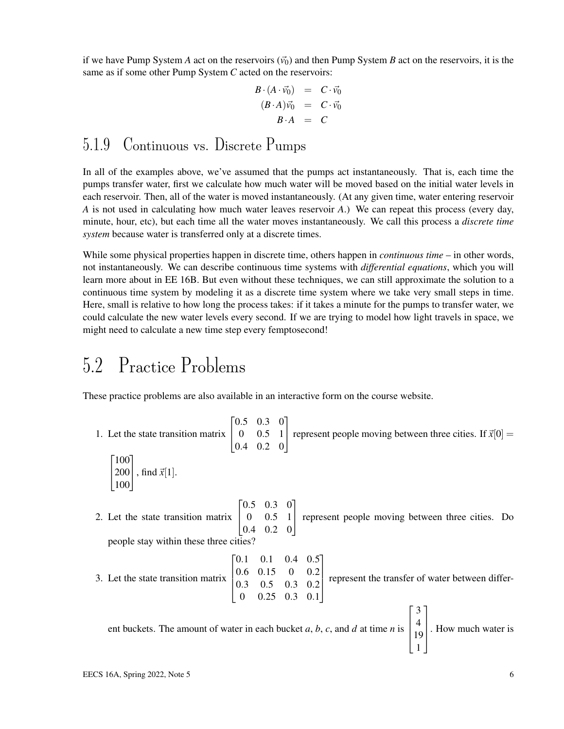if we have Pump System *A* act on the reservoirs  $(\vec{v_0})$  and then Pump System *B* act on the reservoirs, it is the same as if some other Pump System *C* acted on the reservoirs:

$$
B \cdot (A \cdot \vec{v_0}) = C \cdot \vec{v_0}
$$
  
\n
$$
(B \cdot A) \vec{v_0} = C \cdot \vec{v_0}
$$
  
\n
$$
B \cdot A = C
$$

#### 5.1.9 Continuous vs. Discrete Pumps

In all of the examples above, we've assumed that the pumps act instantaneously. That is, each time the pumps transfer water, first we calculate how much water will be moved based on the initial water levels in each reservoir. Then, all of the water is moved instantaneously. (At any given time, water entering reservoir *A* is not used in calculating how much water leaves reservoir *A*.) We can repeat this process (every day, minute, hour, etc), but each time all the water moves instantaneously. We call this process a *discrete time system* because water is transferred only at a discrete times.

While some physical properties happen in discrete time, others happen in *continuous time* – in other words, not instantaneously. We can describe continuous time systems with *differential equations*, which you will learn more about in EE 16B. But even without these techniques, we can still approximate the solution to a continuous time system by modeling it as a discrete time system where we take very small steps in time. Here, small is relative to how long the process takes: if it takes a minute for the pumps to transfer water, we could calculate the new water levels every second. If we are trying to model how light travels in space, we might need to calculate a new time step every femptosecond!

## 5.2 Practice Problems

These practice problems are also available in an interactive form on the course website.

1. Let the state transition matrix  $\sqrt{ }$  $\overline{1}$ 0.5 0.3 0 0 0.5 1 0.4 0.2 0 1 represent people moving between three cities. If  $\vec{x}[0] =$  $\lceil 100 \rceil$  $\overline{1}$ 200 100 , find  $\vec{x}[1]$ . 2. Let the state transition matrix  $0.5$  $\begin{bmatrix} 0 & 0.5 & 1 \\ 0.4 & 0.2 & 0 \end{bmatrix}$  $[0.5 \ 0.3 \ 0]$  $\begin{bmatrix} 0 & 0.5 & 1 \end{bmatrix}$  represent people moving between three cities. Do people stay within these three cities? 3. Let the state transition matrix  $0.1$  $\begin{bmatrix} 0.0 & 0.13 & 0 & 0.2 \\ 0.3 & 0.5 & 0.3 & 0.2 \\ 0 & 0.25 & 0.3 & 0.1 \end{bmatrix}$  $0.1 \quad 0.4$ 0.6 0.15 0 0.2 0 0.25 0.3 0.1  $0.5^{\circ}$  $\Big\}$  $0.25$  0.3 0.1 represent the transfer of water between different buckets. The amount of water in each bucket *a*, *b*, *c*, and *d* at time *n* is  $\sqrt{ }$  $\Big\}$ 3 4 19 1  $\begin{matrix} \phantom{-} \end{matrix}$ . How much water is

1